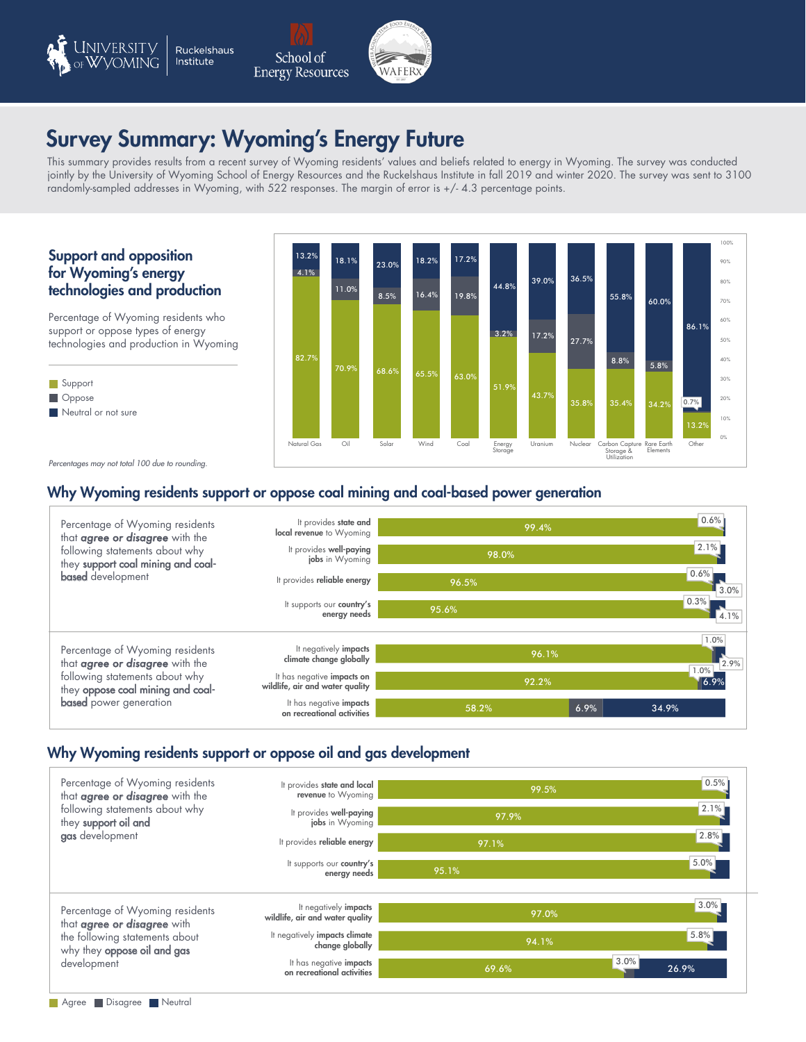

### Survey Summary: Wyoming's Energy Future lina's Ener

This summary provides results from a recent survey of Wyoming residents' values and beliefs related to energy in Wyoming. The survey was conducted instructured provides results from a recent survey of vyyoming restacting values and befield sectional collect<br>School of the University of Wyoming School of Energy Resources and the Ruckelshaus Institute in fall 2019 and w randomly-sampled addresses in Wyoming, with 522 responses. The margin of error is +/- 4.3 percentage points.  $3001$ CCS

### Support and opposition for Wyoming's energy technologies and production

Percentage of Wyoming residents who support or oppose types of energy technologies and production in Wyoming





 $\overline{\phantom{a}}$ 

*Percentages may not total 100 due to rounding.*

# Why Wyoming residents support or oppose coal mining and coal-based power generation<br>————————————————————



#### Why Wyoming residents support or oppose oil and gas development المدة